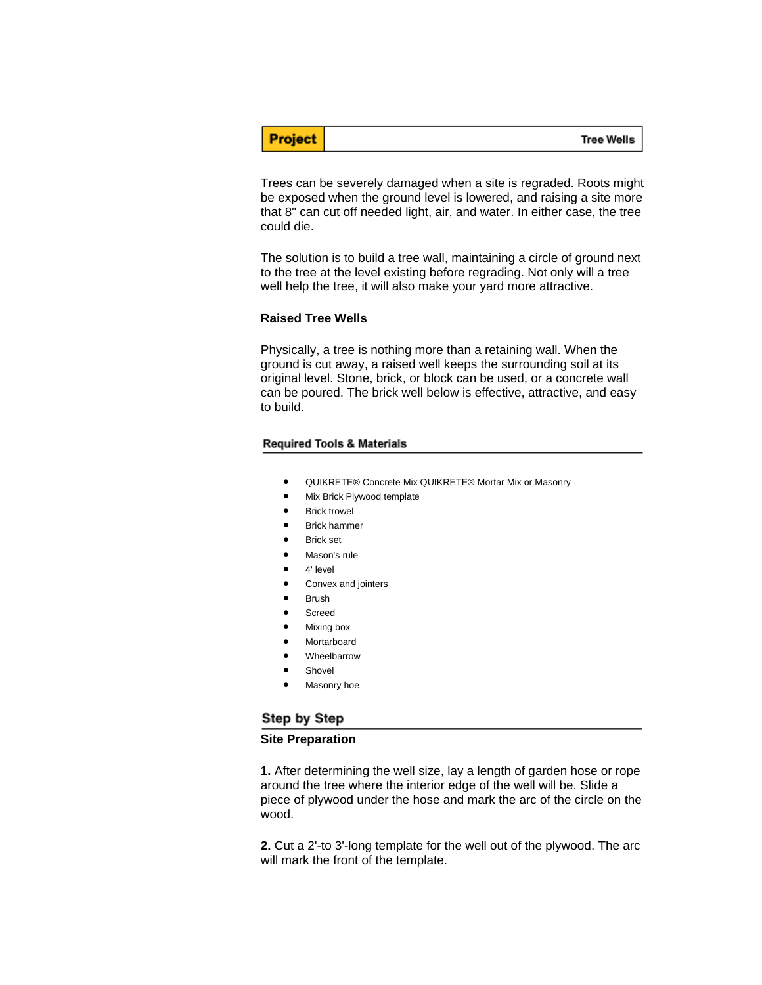**Tree Wells** 

Trees can be severely damaged when a site is regraded. Roots might be exposed when the ground level is lowered, and raising a site more that 8" can cut off needed light, air, and water. In either case, the tree could die.

The solution is to build a tree wall, maintaining a circle of ground next to the tree at the level existing before regrading. Not only will a tree well help the tree, it will also make your yard more attractive.

#### **Raised Tree Wells**

**Project** 

Physically, a tree is nothing more than a retaining wall. When the ground is cut away, a raised well keeps the surrounding soil at its original level. Stone, brick, or block can be used, or a concrete wall can be poured. The brick well below is effective, attractive, and easy to build.

#### **Required Tools & Materials**

- QUIKRETE® Concrete Mix QUIKRETE® Mortar Mix or Masonry
- Mix Brick Plywood template
- Brick trowel
- Brick hammer
- **Brick set**
- Mason's rule
- 4' level
- Convex and jointers
- **Brush**
- Screed
- Mixing box
- **Mortarboard**
- **Wheelbarrow**
- **Shovel**
- Masonry hoe

## Step by Step

### **Site Preparation**

**1.** After determining the well size, lay a length of garden hose or rope around the tree where the interior edge of the well will be. Slide a piece of plywood under the hose and mark the arc of the circle on the wood.

**2.** Cut a 2'-to 3'-long template for the well out of the plywood. The arc will mark the front of the template.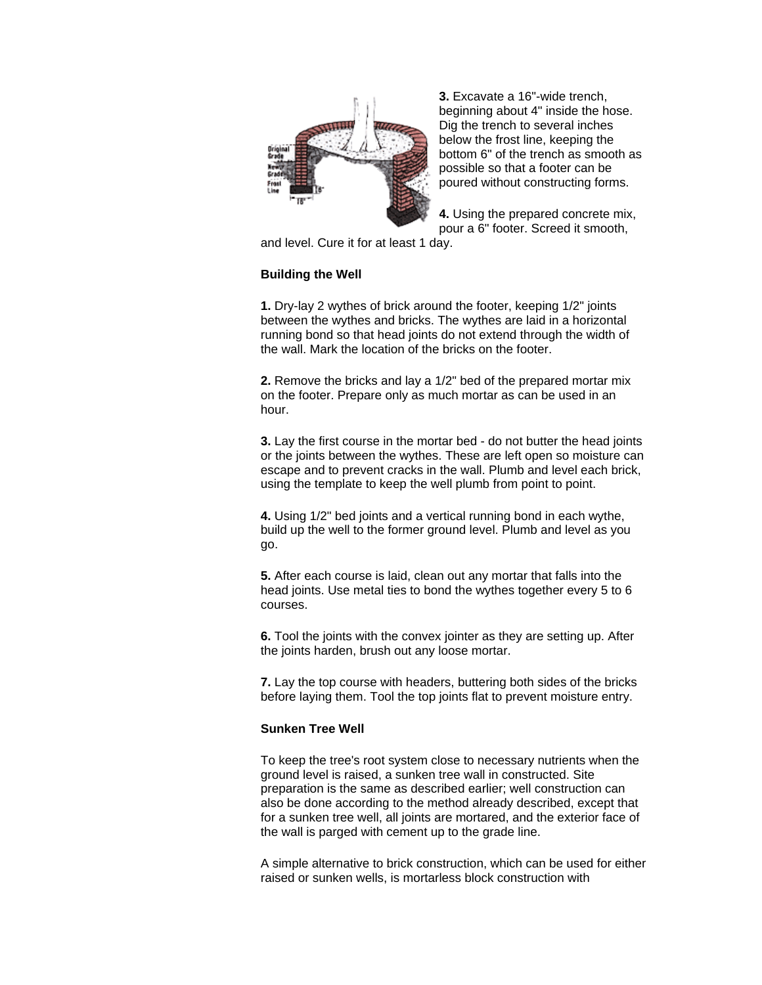

**3.** Excavate a 16"-wide trench, beginning about 4" inside the hose. Dig the trench to several inches below the frost line, keeping the bottom 6" of the trench as smooth as possible so that a footer can be poured without constructing forms.

**4.** Using the prepared concrete mix, pour a 6" footer. Screed it smooth,

and level. Cure it for at least 1 day.

# **Building the Well**

**1.** Dry-lay 2 wythes of brick around the footer, keeping 1/2" joints between the wythes and bricks. The wythes are laid in a horizontal running bond so that head joints do not extend through the width of the wall. Mark the location of the bricks on the footer.

**2.** Remove the bricks and lay a 1/2" bed of the prepared mortar mix on the footer. Prepare only as much mortar as can be used in an hour.

**3.** Lay the first course in the mortar bed - do not butter the head joints or the joints between the wythes. These are left open so moisture can escape and to prevent cracks in the wall. Plumb and level each brick, using the template to keep the well plumb from point to point.

**4.** Using 1/2" bed joints and a vertical running bond in each wythe, build up the well to the former ground level. Plumb and level as you go.

**5.** After each course is laid, clean out any mortar that falls into the head joints. Use metal ties to bond the wythes together every 5 to 6 courses.

**6.** Tool the joints with the convex jointer as they are setting up. After the joints harden, brush out any loose mortar.

**7.** Lay the top course with headers, buttering both sides of the bricks before laying them. Tool the top joints flat to prevent moisture entry.

## **Sunken Tree Well**

To keep the tree's root system close to necessary nutrients when the ground level is raised, a sunken tree wall in constructed. Site preparation is the same as described earlier; well construction can also be done according to the method already described, except that for a sunken tree well, all joints are mortared, and the exterior face of the wall is parged with cement up to the grade line.

A simple alternative to brick construction, which can be used for either raised or sunken wells, is mortarless block construction with